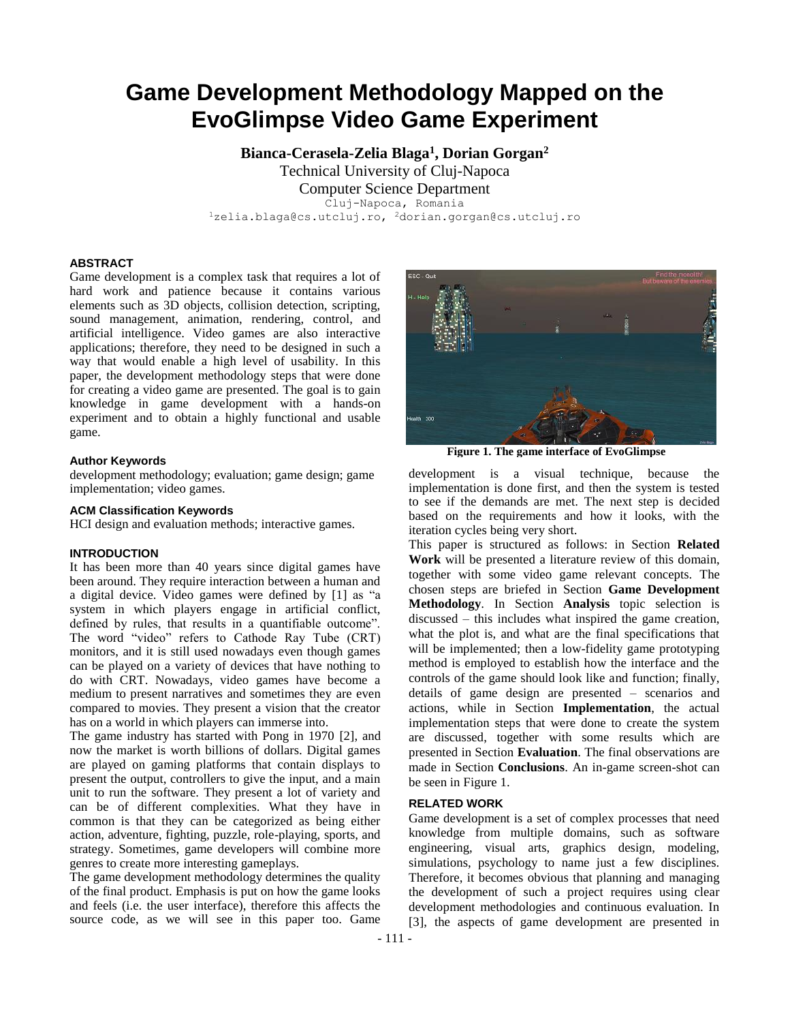# **Game Development Methodology Mapped on the EvoGlimpse Video Game Experiment**

**Bianca-Cerasela-Zelia Blaga<sup>1</sup> , Dorian Gorgan<sup>2</sup>** Technical University of Cluj-Napoca

Computer Science Department Cluj-Napoca, Romania <sup>1</sup>zelia.blaga@cs.utcluj.ro, <sup>2</sup>dorian.gorgan@cs.utcluj.ro

# **ABSTRACT**

Game development is a complex task that requires a lot of hard work and patience because it contains various elements such as 3D objects, collision detection, scripting, sound management, animation, rendering, control, and artificial intelligence. Video games are also interactive applications; therefore, they need to be designed in such a way that would enable a high level of usability. In this paper, the development methodology steps that were done for creating a video game are presented. The goal is to gain knowledge in game development with a hands-on experiment and to obtain a highly functional and usable game.

#### **Author Keywords**

development methodology; evaluation; game design; game implementation; video games.

## **ACM Classification Keywords**

HCI design and evaluation methods; interactive games.

## **INTRODUCTION**

It has been more than 40 years since digital games have been around. They require interaction between a human and a digital device. Video games were defined by [\[1\]](#page-7-0) as "a system in which players engage in artificial conflict, defined by rules, that results in a quantifiable outcome". The word "video" refers to Cathode Ray Tube (CRT) monitors, and it is still used nowadays even though games can be played on a variety of devices that have nothing to do with CRT. Nowadays, video games have become a medium to present narratives and sometimes they are even compared to movies. They present a vision that the creator has on a world in which players can immerse into.

The game industry has started with Pong in 1970 [\[2\]](#page-7-1), and now the market is worth billions of dollars. Digital games are played on gaming platforms that contain displays to present the output, controllers to give the input, and a main unit to run the software. They present a lot of variety and can be of different complexities. What they have in common is that they can be categorized as being either action, adventure, fighting, puzzle, role-playing, sports, and strategy. Sometimes, game developers will combine more genres to create more interesting gameplays.

The game development methodology determines the quality of the final product. Emphasis is put on how the game looks and feels (i.e. the user interface), therefore this affects the source code, as we will see in this paper too. Game



**Figure 1. The game interface of EvoGlimpse**

<span id="page-0-1"></span>development is a visual technique, because the implementation is done first, and then the system is tested to see if the demands are met. The next step is decided based on the requirements and how it looks, with the iteration cycles being very short.

This paper is structured as follows: in Section **[Related](#page-0-0)  [Work](#page-0-0)** will be presented a literature review of this domain, together with some video game relevant concepts. The chosen steps are briefed in Section **[Game Development](#page-1-0)  [Methodology](#page-1-0)**. In Section **[Analysis](#page-1-1)** topic selection is discussed – this includes what inspired the game creation, what the plot is, and what are the final specifications that will be implemented; then a low-fidelity game prototyping method is employed to establish how the interface and the controls of the game should look like and function; finally, details of game design are presented – scenarios and actions, while in Section **[Implementation](#page-4-0)**, the actual implementation steps that were done to create the system are discussed, together with some results which are presented in Section **[Evaluation](#page-7-2)**. The final observations are made in Section **[Conclusions](#page-7-3)**. An in-game screen-shot can be seen in [Figure 1.](#page-0-1)

## <span id="page-0-0"></span>**RELATED WORK**

Game development is a set of complex processes that need knowledge from multiple domains, such as software engineering, visual arts, graphics design, modeling, simulations, psychology to name just a few disciplines. Therefore, it becomes obvious that planning and managing the development of such a project requires using clear development methodologies and continuous evaluation. In [\[3\]](#page-7-4), the aspects of game development are presented in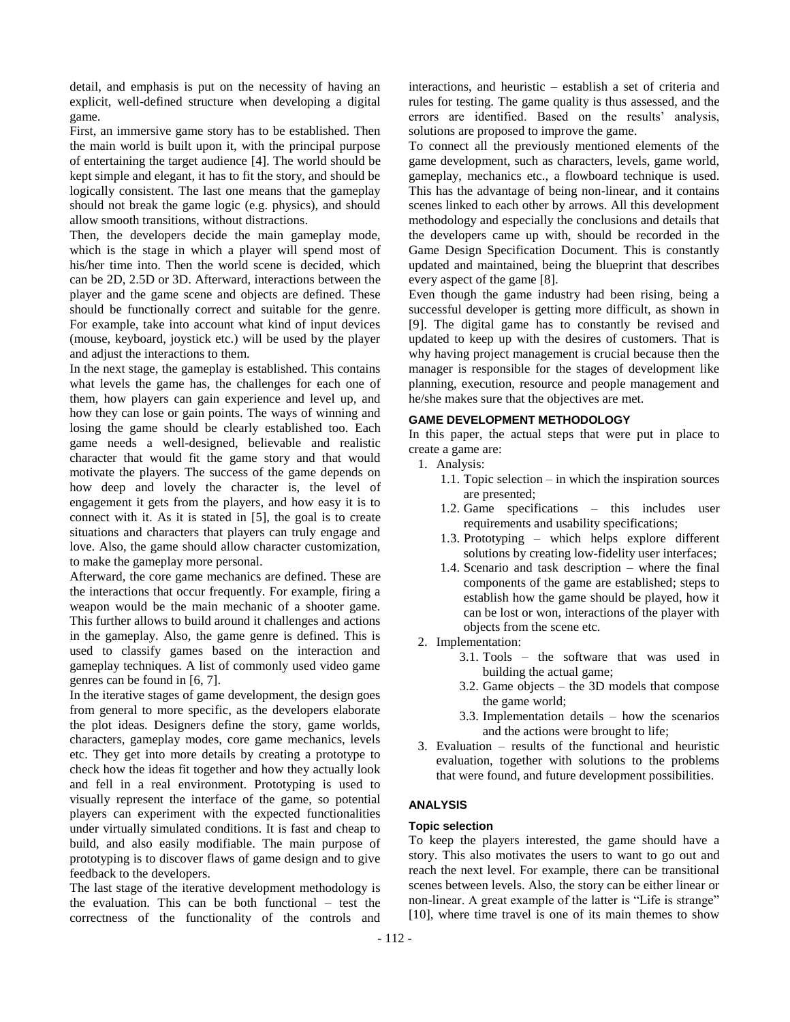detail, and emphasis is put on the necessity of having an explicit, well-defined structure when developing a digital game.

First, an immersive game story has to be established. Then the main world is built upon it, with the principal purpose of entertaining the target audience [\[4\]](#page-7-5). The world should be kept simple and elegant, it has to fit the story, and should be logically consistent. The last one means that the gameplay should not break the game logic (e.g. physics), and should allow smooth transitions, without distractions.

Then, the developers decide the main gameplay mode, which is the stage in which a player will spend most of his/her time into. Then the world scene is decided, which can be 2D, 2.5D or 3D. Afterward, interactions between the player and the game scene and objects are defined. These should be functionally correct and suitable for the genre. For example, take into account what kind of input devices (mouse, keyboard, joystick etc.) will be used by the player and adjust the interactions to them.

In the next stage, the gameplay is established. This contains what levels the game has, the challenges for each one of them, how players can gain experience and level up, and how they can lose or gain points. The ways of winning and losing the game should be clearly established too. Each game needs a well-designed, believable and realistic character that would fit the game story and that would motivate the players. The success of the game depends on how deep and lovely the character is, the level of engagement it gets from the players, and how easy it is to connect with it. As it is stated in [\[5\]](#page-7-6), the goal is to create situations and characters that players can truly engage and love. Also, the game should allow character customization, to make the gameplay more personal.

Afterward, the core game mechanics are defined. These are the interactions that occur frequently. For example, firing a weapon would be the main mechanic of a shooter game. This further allows to build around it challenges and actions in the gameplay. Also, the game genre is defined. This is used to classify games based on the interaction and gameplay techniques. A list of commonly used video game genres can be found in [\[6,](#page-7-7) [7\]](#page-7-8).

In the iterative stages of game development, the design goes from general to more specific, as the developers elaborate the plot ideas. Designers define the story, game worlds, characters, gameplay modes, core game mechanics, levels etc. They get into more details by creating a prototype to check how the ideas fit together and how they actually look and fell in a real environment. Prototyping is used to visually represent the interface of the game, so potential players can experiment with the expected functionalities under virtually simulated conditions. It is fast and cheap to build, and also easily modifiable. The main purpose of prototyping is to discover flaws of game design and to give feedback to the developers.

The last stage of the iterative development methodology is the evaluation. This can be both functional – test the correctness of the functionality of the controls and interactions, and heuristic – establish a set of criteria and rules for testing. The game quality is thus assessed, and the errors are identified. Based on the results' analysis, solutions are proposed to improve the game.

To connect all the previously mentioned elements of the game development, such as characters, levels, game world, gameplay, mechanics etc., a flowboard technique is used. This has the advantage of being non-linear, and it contains scenes linked to each other by arrows. All this development methodology and especially the conclusions and details that the developers came up with, should be recorded in the Game Design Specification Document. This is constantly updated and maintained, being the blueprint that describes every aspect of the game [\[8\]](#page-7-9).

Even though the game industry had been rising, being a successful developer is getting more difficult, as shown in [\[9\]](#page-7-10). The digital game has to constantly be revised and updated to keep up with the desires of customers. That is why having project management is crucial because then the manager is responsible for the stages of development like planning, execution, resource and people management and he/she makes sure that the objectives are met.

# <span id="page-1-0"></span>**GAME DEVELOPMENT METHODOLOGY**

In this paper, the actual steps that were put in place to create a game are:

- 1. Analysis:
	- 1.1. Topic selection in which the inspiration sources are presented;
	- 1.2. Game specifications this includes user requirements and usability specifications;
	- 1.3. Prototyping which helps explore different solutions by creating low-fidelity user interfaces;
	- 1.4. Scenario and task description where the final components of the game are established; steps to establish how the game should be played, how it can be lost or won, interactions of the player with objects from the scene etc.
- 2. Implementation:
	- 3.1. Tools the software that was used in building the actual game;
	- 3.2. Game objects the 3D models that compose the game world;
	- 3.3. Implementation details how the scenarios and the actions were brought to life;
- 3. Evaluation results of the functional and heuristic evaluation, together with solutions to the problems that were found, and future development possibilities.

#### <span id="page-1-1"></span>**ANALYSIS**

#### **Topic selection**

To keep the players interested, the game should have a story. This also motivates the users to want to go out and reach the next level. For example, there can be transitional scenes between levels. Also, the story can be either linear or non-linear. A great example of the latter is "Life is strange" [\[10\]](#page-7-11), where time travel is one of its main themes to show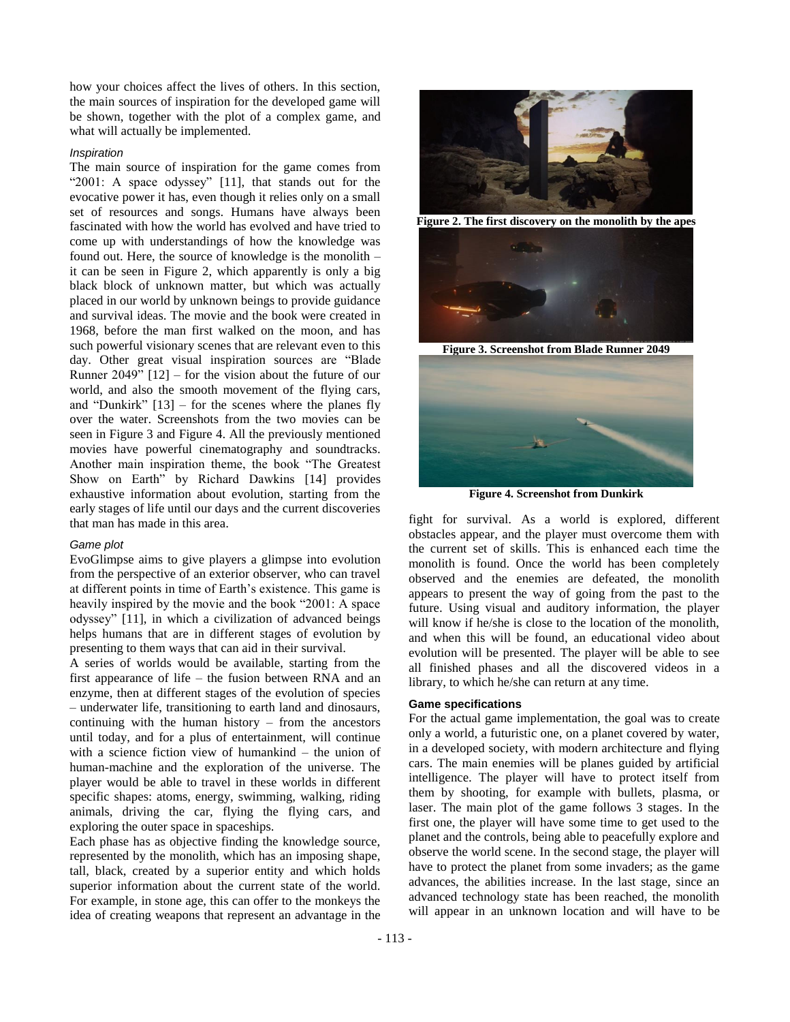how your choices affect the lives of others. In this section, the main sources of inspiration for the developed game will be shown, together with the plot of a complex game, and what will actually be implemented.

#### *Inspiration*

The main source of inspiration for the game comes from "2001: A space odyssey" [\[11\]](#page-7-12), that stands out for the evocative power it has, even though it relies only on a small set of resources and songs. Humans have always been fascinated with how the world has evolved and have tried to come up with understandings of how the knowledge was found out. Here, the source of knowledge is the monolith – it can be seen in [Figure 2,](#page-2-0) which apparently is only a big black block of unknown matter, but which was actually placed in our world by unknown beings to provide guidance and survival ideas. The movie and the book were created in 1968, before the man first walked on the moon, and has such powerful visionary scenes that are relevant even to this day. Other great visual inspiration sources are "Blade Runner  $2049$ "  $[12]$  – for the vision about the future of our world, and also the smooth movement of the flying cars, and "Dunkirk"  $[13]$  – for the scenes where the planes fly over the water. Screenshots from the two movies can be seen in [Figure 3](#page-2-1) and [Figure 4.](#page-2-2) All the previously mentioned movies have powerful cinematography and soundtracks. Another main inspiration theme, the book "The Greatest Show on Earth" by Richard Dawkins [\[14\]](#page-7-15) provides exhaustive information about evolution, starting from the early stages of life until our days and the current discoveries that man has made in this area.

#### *Game plot*

EvoGlimpse aims to give players a glimpse into evolution from the perspective of an exterior observer, who can travel at different points in time of Earth's existence. This game is heavily inspired by the movie and the book "2001: A space odyssey" [\[11\]](#page-7-12), in which a civilization of advanced beings helps humans that are in different stages of evolution by presenting to them ways that can aid in their survival.

A series of worlds would be available, starting from the first appearance of life – the fusion between RNA and an enzyme, then at different stages of the evolution of species – underwater life, transitioning to earth land and dinosaurs, continuing with the human history – from the ancestors until today, and for a plus of entertainment, will continue with a science fiction view of humankind – the union of human-machine and the exploration of the universe. The player would be able to travel in these worlds in different specific shapes: atoms, energy, swimming, walking, riding animals, driving the car, flying the flying cars, and exploring the outer space in spaceships.

Each phase has as objective finding the knowledge source, represented by the monolith, which has an imposing shape, tall, black, created by a superior entity and which holds superior information about the current state of the world. For example, in stone age, this can offer to the monkeys the idea of creating weapons that represent an advantage in the



**Figure 2. The first discovery on the monolith by the apes**

<span id="page-2-0"></span>

**Figure 3. Screenshot from Blade Runner 2049**

<span id="page-2-1"></span>

**Figure 4. Screenshot from Dunkirk**

<span id="page-2-2"></span>fight for survival. As a world is explored, different obstacles appear, and the player must overcome them with the current set of skills. This is enhanced each time the monolith is found. Once the world has been completely observed and the enemies are defeated, the monolith appears to present the way of going from the past to the future. Using visual and auditory information, the player will know if he/she is close to the location of the monolith. and when this will be found, an educational video about evolution will be presented. The player will be able to see all finished phases and all the discovered videos in a library, to which he/she can return at any time.

## **Game specifications**

For the actual game implementation, the goal was to create only a world, a futuristic one, on a planet covered by water, in a developed society, with modern architecture and flying cars. The main enemies will be planes guided by artificial intelligence. The player will have to protect itself from them by shooting, for example with bullets, plasma, or laser. The main plot of the game follows 3 stages. In the first one, the player will have some time to get used to the planet and the controls, being able to peacefully explore and observe the world scene. In the second stage, the player will have to protect the planet from some invaders; as the game advances, the abilities increase. In the last stage, since an advanced technology state has been reached, the monolith will appear in an unknown location and will have to be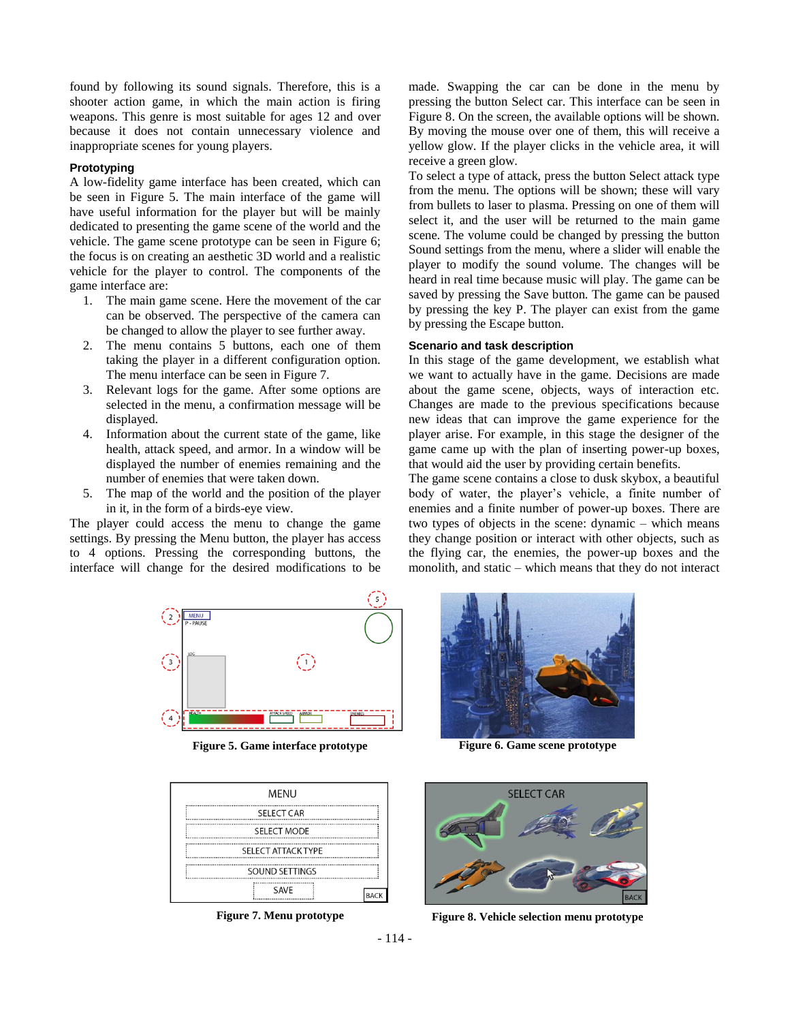found by following its sound signals. Therefore, this is a shooter action game, in which the main action is firing weapons. This genre is most suitable for ages 12 and over because it does not contain unnecessary violence and inappropriate scenes for young players.

# **Prototyping**

A low-fidelity game interface has been created, which can be seen in [Figure 5.](#page-3-0) The main interface of the game will have useful information for the player but will be mainly dedicated to presenting the game scene of the world and the vehicle. The game scene prototype can be seen in [Figure 6;](#page-3-1) the focus is on creating an aesthetic 3D world and a realistic vehicle for the player to control. The components of the game interface are:

- 1. The main game scene. Here the movement of the car can be observed. The perspective of the camera can be changed to allow the player to see further away.
- 2. The menu contains 5 buttons, each one of them taking the player in a different configuration option. The menu interface can be seen in [Figure 7.](#page-3-2)
- 3. Relevant logs for the game. After some options are selected in the menu, a confirmation message will be displayed.
- 4. Information about the current state of the game, like health, attack speed, and armor. In a window will be displayed the number of enemies remaining and the number of enemies that were taken down.
- 5. The map of the world and the position of the player in it, in the form of a birds-eye view.

The player could access the menu to change the game settings. By pressing the Menu button, the player has access to 4 options. Pressing the corresponding buttons, the interface will change for the desired modifications to be



<span id="page-3-0"></span>**Figure 5. Game interface prototype Figure 6. Game scene prototype**

| MENU                      |    |
|---------------------------|----|
| <b>SELECT CAR</b>         |    |
| <b>SELECT MODE</b>        |    |
| <b>SELECT ATTACK TYPE</b> |    |
| SOUND SETTINGS            |    |
| <b>SAVE</b>               | BA |

<span id="page-3-3"></span><span id="page-3-2"></span>

made. Swapping the car can be done in the menu by pressing the button Select car. This interface can be seen in [Figure 8.](#page-3-3) On the screen, the available options will be shown. By moving the mouse over one of them, this will receive a yellow glow. If the player clicks in the vehicle area, it will receive a green glow.

To select a type of attack, press the button Select attack type from the menu. The options will be shown; these will vary from bullets to laser to plasma. Pressing on one of them will select it, and the user will be returned to the main game scene. The volume could be changed by pressing the button Sound settings from the menu, where a slider will enable the player to modify the sound volume. The changes will be heard in real time because music will play. The game can be saved by pressing the Save button. The game can be paused by pressing the key P. The player can exist from the game by pressing the Escape button.

## **Scenario and task description**

In this stage of the game development, we establish what we want to actually have in the game. Decisions are made about the game scene, objects, ways of interaction etc. Changes are made to the previous specifications because new ideas that can improve the game experience for the player arise. For example, in this stage the designer of the game came up with the plan of inserting power-up boxes, that would aid the user by providing certain benefits.

The game scene contains a close to dusk skybox, a beautiful body of water, the player's vehicle, a finite number of enemies and a finite number of power-up boxes. There are two types of objects in the scene: dynamic – which means they change position or interact with other objects, such as the flying car, the enemies, the power-up boxes and the monolith, and static – which means that they do not interact

<span id="page-3-1"></span>



**Figure 7. Menu prototype Figure 8. Vehicle selection menu prototype**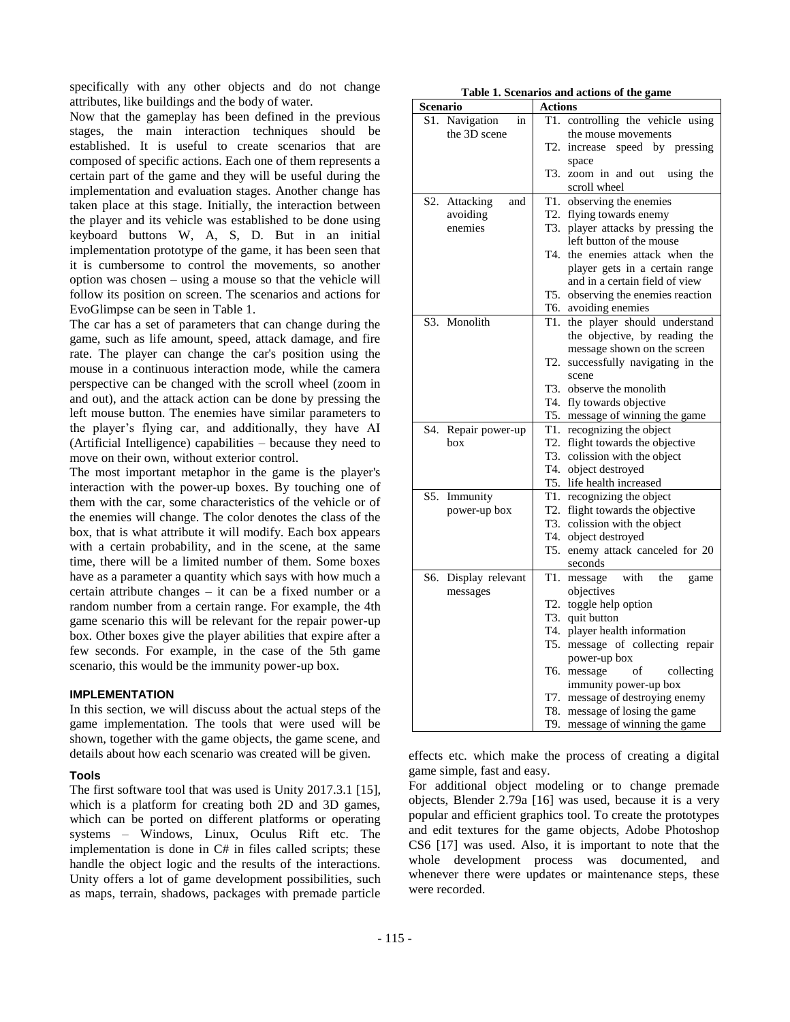specifically with any other objects and do not change attributes, like buildings and the body of water.

Now that the gameplay has been defined in the previous stages, the main interaction techniques should be established. It is useful to create scenarios that are composed of specific actions. Each one of them represents a certain part of the game and they will be useful during the implementation and evaluation stages. Another change has taken place at this stage. Initially, the interaction between the player and its vehicle was established to be done using keyboard buttons W, A, S, D. But in an initial implementation prototype of the game, it has been seen that it is cumbersome to control the movements, so another option was chosen – using a mouse so that the vehicle will follow its position on screen. The scenarios and actions for EvoGlimpse can be seen in [Table 1.](#page-4-1)

The car has a set of parameters that can change during the game, such as life amount, speed, attack damage, and fire rate. The player can change the car's position using the mouse in a continuous interaction mode, while the camera perspective can be changed with the scroll wheel (zoom in and out), and the attack action can be done by pressing the left mouse button. The enemies have similar parameters to the player's flying car, and additionally, they have AI (Artificial Intelligence) capabilities – because they need to move on their own, without exterior control.

The most important metaphor in the game is the player's interaction with the power-up boxes. By touching one of them with the car, some characteristics of the vehicle or of the enemies will change. The color denotes the class of the box, that is what attribute it will modify. Each box appears with a certain probability, and in the scene, at the same time, there will be a limited number of them. Some boxes have as a parameter a quantity which says with how much a certain attribute changes – it can be a fixed number or a random number from a certain range. For example, the 4th game scenario this will be relevant for the repair power-up box. Other boxes give the player abilities that expire after a few seconds. For example, in the case of the 5th game scenario, this would be the immunity power-up box.

## <span id="page-4-0"></span>**IMPLEMENTATION**

In this section, we will discuss about the actual steps of the game implementation. The tools that were used will be shown, together with the game objects, the game scene, and details about how each scenario was created will be given.

#### **Tools**

The first software tool that was used is Unity 2017.3.1 [\[15\]](#page-7-16), which is a platform for creating both 2D and 3D games, which can be ported on different platforms or operating systems – Windows, Linux, Oculus Rift etc. The implementation is done in C# in files called scripts; these handle the object logic and the results of the interactions. Unity offers a lot of game development possibilities, such as maps, terrain, shadows, packages with premade particle

**Table 1. Scenarios and actions of the game**

<span id="page-4-1"></span>

| Scenario               | Actions                                                      |
|------------------------|--------------------------------------------------------------|
| S1. Navigation<br>in   | controlling the vehicle using<br>T1.                         |
| the 3D scene           | the mouse movements                                          |
|                        | T2.<br>increase speed by pressing                            |
|                        | space                                                        |
|                        | zoom in and out using the<br>T3.                             |
|                        | scroll wheel                                                 |
| S2. Attacking<br>and   | T1. observing the enemies                                    |
| avoiding               | T2. flying towards enemy                                     |
| enemies                | T3. player attacks by pressing the                           |
|                        | left button of the mouse                                     |
|                        | T4, the enemies attack when the                              |
|                        | player gets in a certain range                               |
|                        | and in a certain field of view                               |
|                        | T5.<br>observing the enemies reaction                        |
|                        | T6. avoiding enemies                                         |
| S3. Monolith           | T1. the player should understand                             |
|                        | the objective, by reading the<br>message shown on the screen |
|                        | successfully navigating in the<br>T2.                        |
|                        | scene                                                        |
|                        | T <sub>3</sub> . observe the monolith                        |
|                        | T4. fly towards objective                                    |
|                        | T5. message of winning the game                              |
| S4.<br>Repair power-up | T1. recognizing the object                                   |
| box                    | T2. flight towards the objective                             |
|                        | T3. colission with the object                                |
|                        | T4. object destroyed                                         |
|                        | T5. life health increased                                    |
| S5.<br>Immunity        | T1. recognizing the object                                   |
| power-up box           | T2. flight towards the objective                             |
|                        | T3. colission with the object                                |
|                        | T4. object destroyed                                         |
|                        | enemy attack canceled for 20<br>T5.                          |
|                        | seconds                                                      |
| S6. Display relevant   | T1.<br>with<br>the<br>message<br>game                        |
| messages               | objectives<br>T2. toggle help option                         |
|                        | T3. quit button                                              |
|                        | T4. player health information                                |
|                        | message of collecting repair<br>T5.                          |
|                        | power-up box                                                 |
|                        | T6.<br>of<br>message<br>collecting                           |
|                        | immunity power-up box                                        |
|                        | T7. message of destroying enemy                              |
|                        | T8. message of losing the game                               |
|                        | message of winning the game<br>T9.                           |

effects etc. which make the process of creating a digital game simple, fast and easy.

For additional object modeling or to change premade objects, Blender 2.79a [\[16\]](#page-7-17) was used, because it is a very popular and efficient graphics tool. To create the prototypes and edit textures for the game objects, Adobe Photoshop CS6 [\[17\]](#page-7-18) was used. Also, it is important to note that the whole development process was documented, and whenever there were updates or maintenance steps, these were recorded.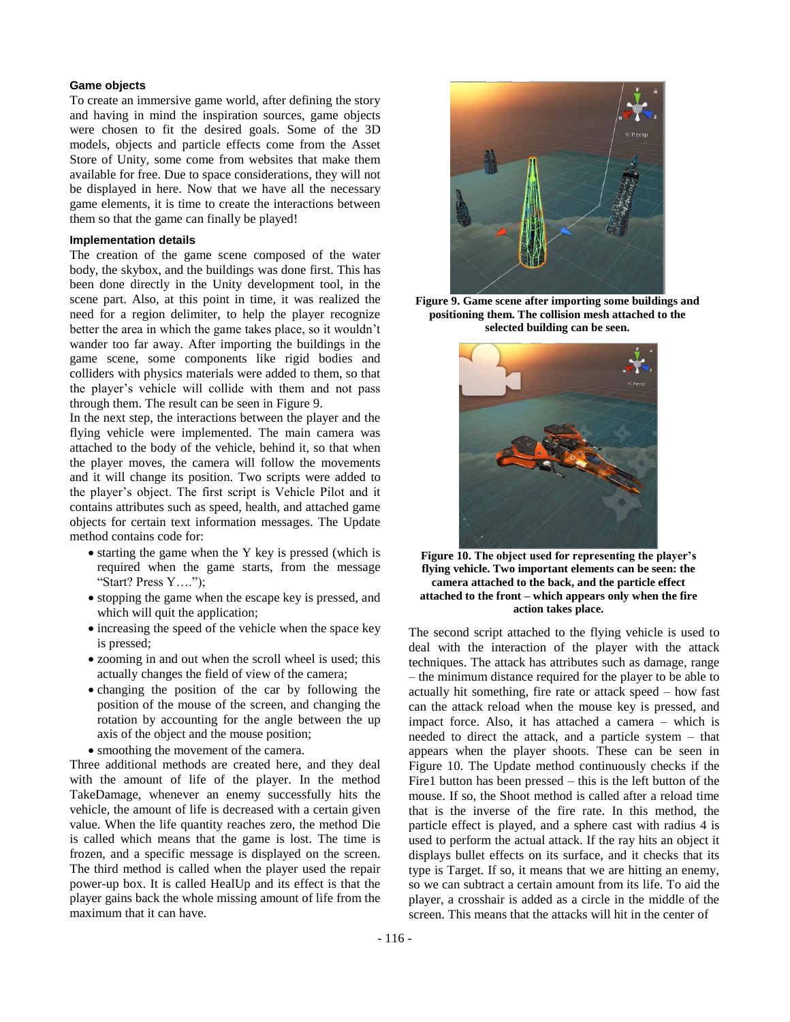## **Game objects**

To create an immersive game world, after defining the story and having in mind the inspiration sources, game objects were chosen to fit the desired goals. Some of the 3D models, objects and particle effects come from the Asset Store of Unity, some come from websites that make them available for free. Due to space considerations, they will not be displayed in here. Now that we have all the necessary game elements, it is time to create the interactions between them so that the game can finally be played!

## **Implementation details**

The creation of the game scene composed of the water body, the skybox, and the buildings was done first. This has been done directly in the Unity development tool, in the scene part. Also, at this point in time, it was realized the need for a region delimiter, to help the player recognize better the area in which the game takes place, so it wouldn't wander too far away. After importing the buildings in the game scene, some components like rigid bodies and colliders with physics materials were added to them, so that the player's vehicle will collide with them and not pass through them. The result can be seen in [Figure 9.](#page-5-0)

In the next step, the interactions between the player and the flying vehicle were implemented. The main camera was attached to the body of the vehicle, behind it, so that when the player moves, the camera will follow the movements and it will change its position. Two scripts were added to the player's object. The first script is Vehicle Pilot and it contains attributes such as speed, health, and attached game objects for certain text information messages. The Update method contains code for:

- starting the game when the Y key is pressed (which is required when the game starts, from the message "Start? Press Y….");
- stopping the game when the escape key is pressed, and which will quit the application;
- increasing the speed of the vehicle when the space key is pressed;
- zooming in and out when the scroll wheel is used; this actually changes the field of view of the camera;
- changing the position of the car by following the position of the mouse of the screen, and changing the rotation by accounting for the angle between the up axis of the object and the mouse position;
- smoothing the movement of the camera.

Three additional methods are created here, and they deal with the amount of life of the player. In the method TakeDamage, whenever an enemy successfully hits the vehicle, the amount of life is decreased with a certain given value. When the life quantity reaches zero, the method Die is called which means that the game is lost. The time is frozen, and a specific message is displayed on the screen. The third method is called when the player used the repair power-up box. It is called HealUp and its effect is that the player gains back the whole missing amount of life from the maximum that it can have.



**Figure 9. Game scene after importing some buildings and positioning them. The collision mesh attached to the selected building can be seen.**

<span id="page-5-0"></span>

**Figure 10. The object used for representing the player's flying vehicle. Two important elements can be seen: the camera attached to the back, and the particle effect attached to the front – which appears only when the fire action takes place.**

<span id="page-5-1"></span>The second script attached to the flying vehicle is used to deal with the interaction of the player with the attack techniques. The attack has attributes such as damage, range – the minimum distance required for the player to be able to actually hit something, fire rate or attack speed – how fast can the attack reload when the mouse key is pressed, and impact force. Also, it has attached a camera – which is needed to direct the attack, and a particle system – that appears when the player shoots. These can be seen in [Figure 10.](#page-5-1) The Update method continuously checks if the Fire1 button has been pressed – this is the left button of the mouse. If so, the Shoot method is called after a reload time that is the inverse of the fire rate. In this method, the particle effect is played, and a sphere cast with radius 4 is used to perform the actual attack. If the ray hits an object it displays bullet effects on its surface, and it checks that its type is Target. If so, it means that we are hitting an enemy, so we can subtract a certain amount from its life. To aid the player, a crosshair is added as a circle in the middle of the screen. This means that the attacks will hit in the center of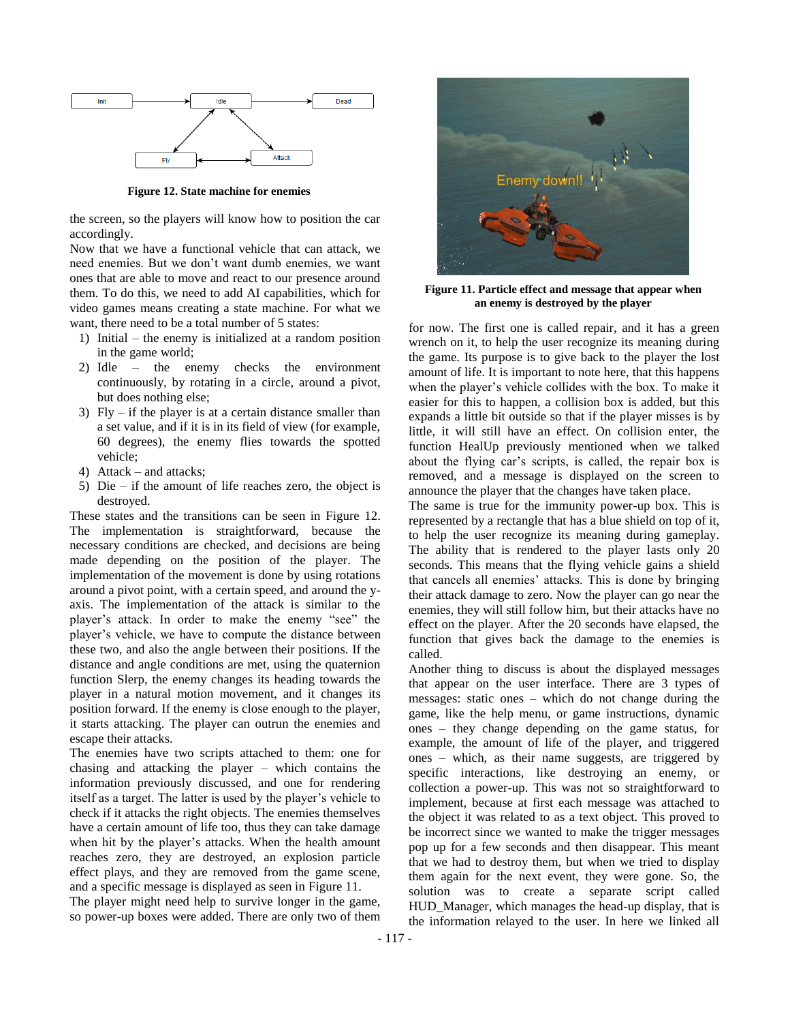

**Figure 12. State machine for enemies**

<span id="page-6-0"></span>the screen, so the players will know how to position the car accordingly.

Now that we have a functional vehicle that can attack, we need enemies. But we don't want dumb enemies, we want ones that are able to move and react to our presence around them. To do this, we need to add AI capabilities, which for video games means creating a state machine. For what we want, there need to be a total number of 5 states:

- 1) Initial the enemy is initialized at a random position in the game world;
- 2) Idle the enemy checks the environment continuously, by rotating in a circle, around a pivot, but does nothing else;
- 3) Fly if the player is at a certain distance smaller than a set value, and if it is in its field of view (for example, 60 degrees), the enemy flies towards the spotted vehicle;
- 4) Attack and attacks;
- 5) Die if the amount of life reaches zero, the object is destroyed.

These states and the transitions can be seen in [Figure 12.](#page-6-0) The implementation is straightforward, because the necessary conditions are checked, and decisions are being made depending on the position of the player. The implementation of the movement is done by using rotations around a pivot point, with a certain speed, and around the yaxis. The implementation of the attack is similar to the player's attack. In order to make the enemy "see" the player's vehicle, we have to compute the distance between these two, and also the angle between their positions. If the distance and angle conditions are met, using the quaternion function Slerp, the enemy changes its heading towards the player in a natural motion movement, and it changes its position forward. If the enemy is close enough to the player, it starts attacking. The player can outrun the enemies and escape their attacks.

The enemies have two scripts attached to them: one for chasing and attacking the player – which contains the information previously discussed, and one for rendering itself as a target. The latter is used by the player's vehicle to check if it attacks the right objects. The enemies themselves have a certain amount of life too, thus they can take damage when hit by the player's attacks. When the health amount reaches zero, they are destroyed, an explosion particle effect plays, and they are removed from the game scene, and a specific message is displayed as seen in [Figure 11.](#page-6-1)

The player might need help to survive longer in the game, so power-up boxes were added. There are only two of them



**Figure 11. Particle effect and message that appear when an enemy is destroyed by the player**

<span id="page-6-1"></span>for now. The first one is called repair, and it has a green wrench on it, to help the user recognize its meaning during the game. Its purpose is to give back to the player the lost amount of life. It is important to note here, that this happens when the player's vehicle collides with the box. To make it easier for this to happen, a collision box is added, but this expands a little bit outside so that if the player misses is by little, it will still have an effect. On collision enter, the function HealUp previously mentioned when we talked about the flying car's scripts, is called, the repair box is removed, and a message is displayed on the screen to announce the player that the changes have taken place.

The same is true for the immunity power-up box. This is represented by a rectangle that has a blue shield on top of it, to help the user recognize its meaning during gameplay. The ability that is rendered to the player lasts only 20 seconds. This means that the flying vehicle gains a shield that cancels all enemies' attacks. This is done by bringing their attack damage to zero. Now the player can go near the enemies, they will still follow him, but their attacks have no effect on the player. After the 20 seconds have elapsed, the function that gives back the damage to the enemies is called.

Another thing to discuss is about the displayed messages that appear on the user interface. There are 3 types of messages: static ones – which do not change during the game, like the help menu, or game instructions, dynamic ones – they change depending on the game status, for example, the amount of life of the player, and triggered ones – which, as their name suggests, are triggered by specific interactions, like destroying an enemy, or collection a power-up. This was not so straightforward to implement, because at first each message was attached to the object it was related to as a text object. This proved to be incorrect since we wanted to make the trigger messages pop up for a few seconds and then disappear. This meant that we had to destroy them, but when we tried to display them again for the next event, they were gone. So, the solution was to create a separate script called HUD\_Manager, which manages the head-up display, that is the information relayed to the user. In here we linked all